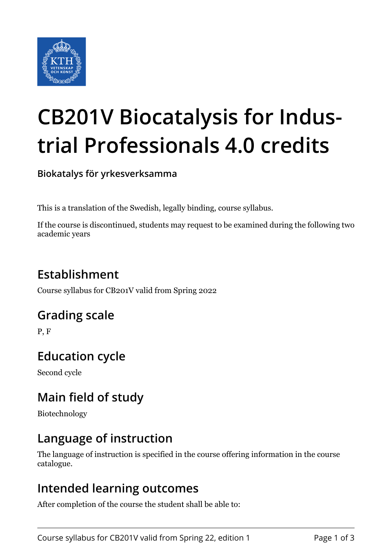

# **CB201V Biocatalysis for Industrial Professionals 4.0 credits**

**Biokatalys för yrkesverksamma**

This is a translation of the Swedish, legally binding, course syllabus.

If the course is discontinued, students may request to be examined during the following two academic years

## **Establishment**

Course syllabus for CB201V valid from Spring 2022

## **Grading scale**

P, F

# **Education cycle**

Second cycle

## **Main field of study**

Biotechnology

## **Language of instruction**

The language of instruction is specified in the course offering information in the course catalogue.

#### **Intended learning outcomes**

After completion of the course the student shall be able to: